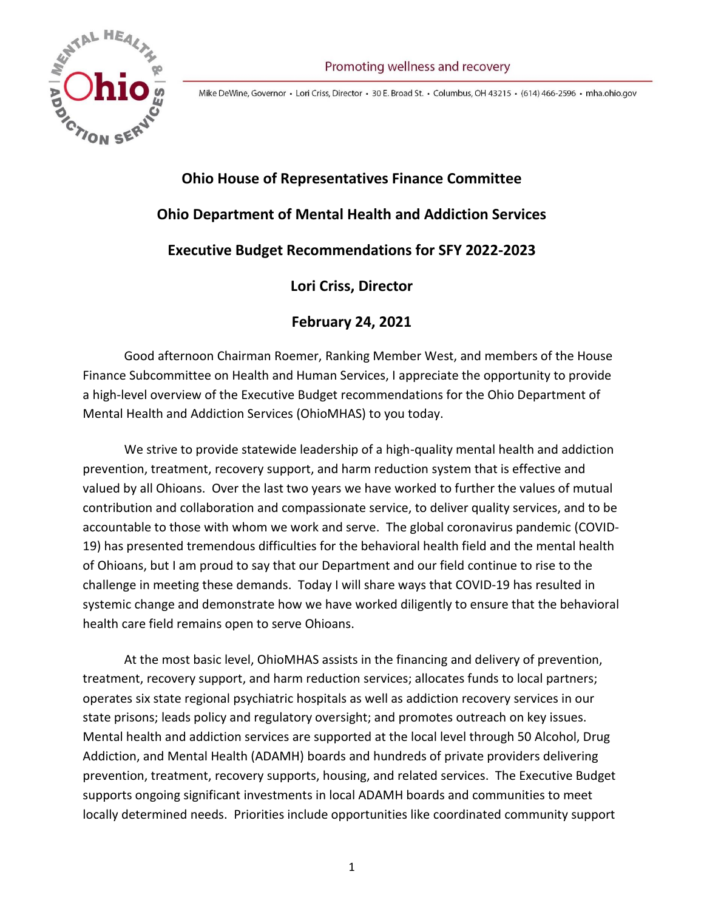

Mike DeWine, Governor · Lori Criss, Director · 30 E. Broad St. · Columbus, OH 43215 · (614) 466-2596 · mha.ohio.gov

# **Ohio House of Representatives Finance Committee Ohio Department of Mental Health and Addiction Services Executive Budget Recommendations for SFY 2022-2023 Lori Criss, Director**

## **February 24, 2021**

Good afternoon Chairman Roemer, Ranking Member West, and members of the House Finance Subcommittee on Health and Human Services, I appreciate the opportunity to provide a high-level overview of the Executive Budget recommendations for the Ohio Department of Mental Health and Addiction Services (OhioMHAS) to you today.

We strive to provide statewide leadership of a high-quality mental health and addiction prevention, treatment, recovery support, and harm reduction system that is effective and valued by all Ohioans. Over the last two years we have worked to further the values of mutual contribution and collaboration and compassionate service, to deliver quality services, and to be accountable to those with whom we work and serve. The global coronavirus pandemic (COVID-19) has presented tremendous difficulties for the behavioral health field and the mental health of Ohioans, but I am proud to say that our Department and our field continue to rise to the challenge in meeting these demands. Today I will share ways that COVID-19 has resulted in systemic change and demonstrate how we have worked diligently to ensure that the behavioral health care field remains open to serve Ohioans.

At the most basic level, OhioMHAS assists in the financing and delivery of prevention, treatment, recovery support, and harm reduction services; allocates funds to local partners; operates six state regional psychiatric hospitals as well as addiction recovery services in our state prisons; leads policy and regulatory oversight; and promotes outreach on key issues. Mental health and addiction services are supported at the local level through 50 Alcohol, Drug Addiction, and Mental Health (ADAMH) boards and hundreds of private providers delivering prevention, treatment, recovery supports, housing, and related services. The Executive Budget supports ongoing significant investments in local ADAMH boards and communities to meet locally determined needs. Priorities include opportunities like coordinated community support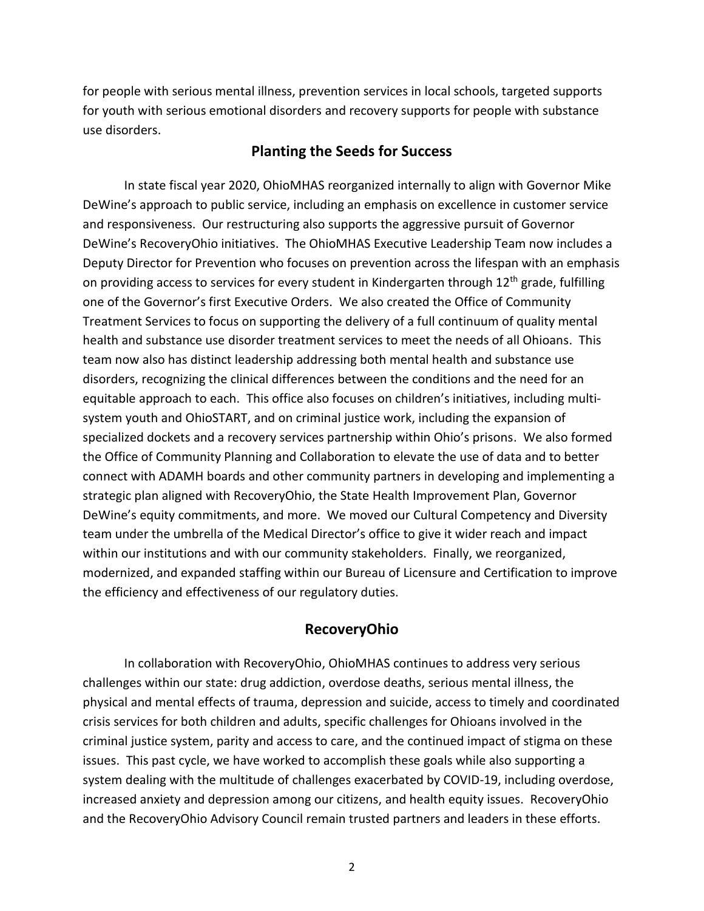for people with serious mental illness, prevention services in local schools, targeted supports for youth with serious emotional disorders and recovery supports for people with substance use disorders.

#### **Planting the Seeds for Success**

In state fiscal year 2020, OhioMHAS reorganized internally to align with Governor Mike DeWine's approach to public service, including an emphasis on excellence in customer service and responsiveness. Our restructuring also supports the aggressive pursuit of Governor DeWine's RecoveryOhio initiatives. The OhioMHAS Executive Leadership Team now includes a Deputy Director for Prevention who focuses on prevention across the lifespan with an emphasis on providing access to services for every student in Kindergarten through  $12<sup>th</sup>$  grade, fulfilling one of the Governor's first Executive Orders. We also created the Office of Community Treatment Services to focus on supporting the delivery of a full continuum of quality mental health and substance use disorder treatment services to meet the needs of all Ohioans. This team now also has distinct leadership addressing both mental health and substance use disorders, recognizing the clinical differences between the conditions and the need for an equitable approach to each. This office also focuses on children's initiatives, including multisystem youth and OhioSTART, and on criminal justice work, including the expansion of specialized dockets and a recovery services partnership within Ohio's prisons. We also formed the Office of Community Planning and Collaboration to elevate the use of data and to better connect with ADAMH boards and other community partners in developing and implementing a strategic plan aligned with RecoveryOhio, the State Health Improvement Plan, Governor DeWine's equity commitments, and more. We moved our Cultural Competency and Diversity team under the umbrella of the Medical Director's office to give it wider reach and impact within our institutions and with our community stakeholders. Finally, we reorganized, modernized, and expanded staffing within our Bureau of Licensure and Certification to improve the efficiency and effectiveness of our regulatory duties.

## **RecoveryOhio**

In collaboration with RecoveryOhio, OhioMHAS continues to address very serious challenges within our state: drug addiction, overdose deaths, serious mental illness, the physical and mental effects of trauma, depression and suicide, access to timely and coordinated crisis services for both children and adults, specific challenges for Ohioans involved in the criminal justice system, parity and access to care, and the continued impact of stigma on these issues. This past cycle, we have worked to accomplish these goals while also supporting a system dealing with the multitude of challenges exacerbated by COVID-19, including overdose, increased anxiety and depression among our citizens, and health equity issues. RecoveryOhio and the RecoveryOhio Advisory Council remain trusted partners and leaders in these efforts.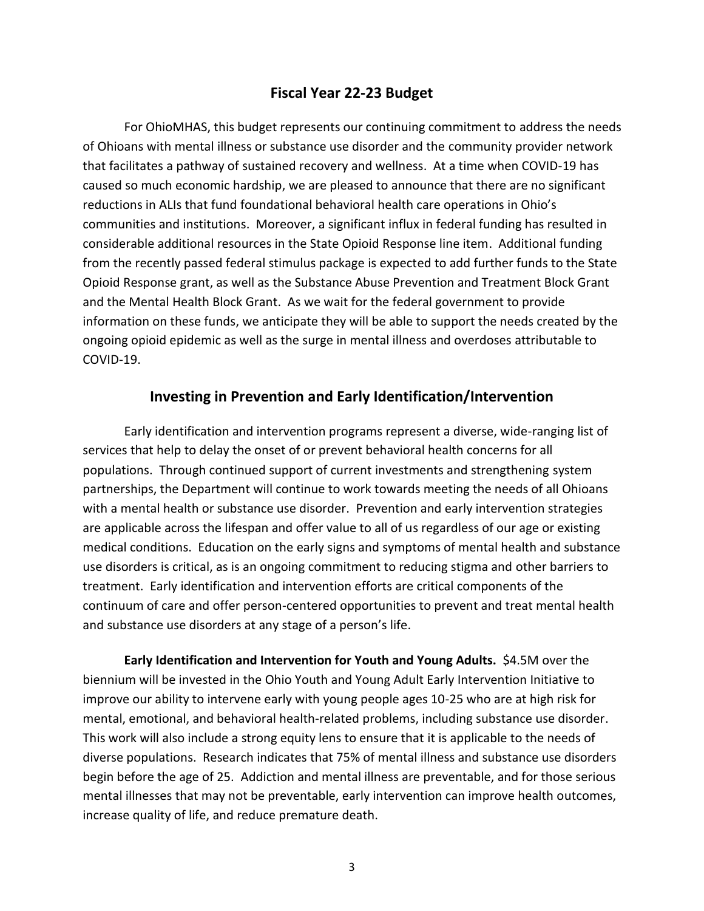## **Fiscal Year 22-23 Budget**

For OhioMHAS, this budget represents our continuing commitment to address the needs of Ohioans with mental illness or substance use disorder and the community provider network that facilitates a pathway of sustained recovery and wellness. At a time when COVID-19 has caused so much economic hardship, we are pleased to announce that there are no significant reductions in ALIs that fund foundational behavioral health care operations in Ohio's communities and institutions. Moreover, a significant influx in federal funding has resulted in considerable additional resources in the State Opioid Response line item. Additional funding from the recently passed federal stimulus package is expected to add further funds to the State Opioid Response grant, as well as the Substance Abuse Prevention and Treatment Block Grant and the Mental Health Block Grant. As we wait for the federal government to provide information on these funds, we anticipate they will be able to support the needs created by the ongoing opioid epidemic as well as the surge in mental illness and overdoses attributable to COVID-19.

#### **Investing in Prevention and Early Identification/Intervention**

Early identification and intervention programs represent a diverse, wide-ranging list of services that help to delay the onset of or prevent behavioral health concerns for all populations. Through continued support of current investments and strengthening system partnerships, the Department will continue to work towards meeting the needs of all Ohioans with a mental health or substance use disorder. Prevention and early intervention strategies are applicable across the lifespan and offer value to all of us regardless of our age or existing medical conditions. Education on the early signs and symptoms of mental health and substance use disorders is critical, as is an ongoing commitment to reducing stigma and other barriers to treatment. Early identification and intervention efforts are critical components of the continuum of care and offer person-centered opportunities to prevent and treat mental health and substance use disorders at any stage of a person's life.

**Early Identification and Intervention for Youth and Young Adults.** \$4.5M over the biennium will be invested in the Ohio Youth and Young Adult Early Intervention Initiative to improve our ability to intervene early with young people ages 10-25 who are at high risk for mental, emotional, and behavioral health-related problems, including substance use disorder. This work will also include a strong equity lens to ensure that it is applicable to the needs of diverse populations. Research indicates that 75% of mental illness and substance use disorders begin before the age of 25. Addiction and mental illness are preventable, and for those serious mental illnesses that may not be preventable, early intervention can improve health outcomes, increase quality of life, and reduce premature death.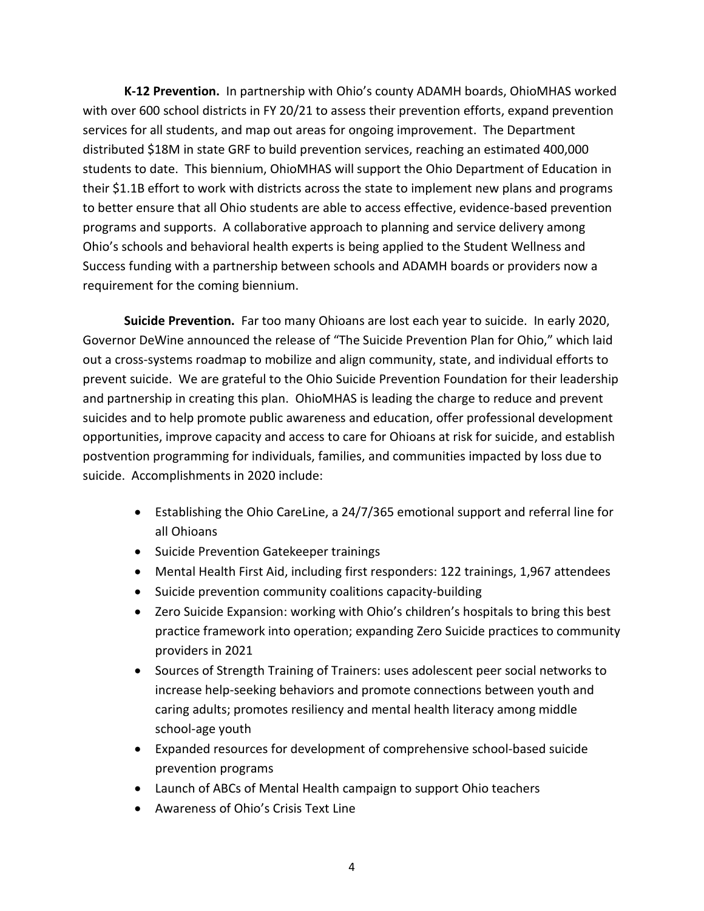**K-12 Prevention.** In partnership with Ohio's county ADAMH boards, OhioMHAS worked with over 600 school districts in FY 20/21 to assess their prevention efforts, expand prevention services for all students, and map out areas for ongoing improvement. The Department distributed \$18M in state GRF to build prevention services, reaching an estimated 400,000 students to date. This biennium, OhioMHAS will support the Ohio Department of Education in their \$1.1B effort to work with districts across the state to implement new plans and programs to better ensure that all Ohio students are able to access effective, evidence-based prevention programs and supports. A collaborative approach to planning and service delivery among Ohio's schools and behavioral health experts is being applied to the Student Wellness and Success funding with a partnership between schools and ADAMH boards or providers now a requirement for the coming biennium.

**Suicide Prevention.** Far too many Ohioans are lost each year to suicide. In early 2020, Governor DeWine announced the release of "The Suicide Prevention Plan for Ohio," which laid out a cross-systems roadmap to mobilize and align community, state, and individual efforts to prevent suicide. We are grateful to the Ohio Suicide Prevention Foundation for their leadership and partnership in creating this plan. OhioMHAS is leading the charge to reduce and prevent suicides and to help promote public awareness and education, offer professional development opportunities, improve capacity and access to care for Ohioans at risk for suicide, and establish postvention programming for individuals, families, and communities impacted by loss due to suicide. Accomplishments in 2020 include:

- Establishing the Ohio CareLine, a 24/7/365 emotional support and referral line for all Ohioans
- Suicide Prevention Gatekeeper trainings
- Mental Health First Aid, including first responders: 122 trainings, 1,967 attendees
- Suicide prevention community coalitions capacity-building
- Zero Suicide Expansion: working with Ohio's children's hospitals to bring this best practice framework into operation; expanding Zero Suicide practices to community providers in 2021
- Sources of Strength Training of Trainers: uses adolescent peer social networks to increase help-seeking behaviors and promote connections between youth and caring adults; promotes resiliency and mental health literacy among middle school-age youth
- Expanded resources for development of comprehensive school-based suicide prevention programs
- Launch of ABCs of Mental Health campaign to support Ohio teachers
- Awareness of Ohio's Crisis Text Line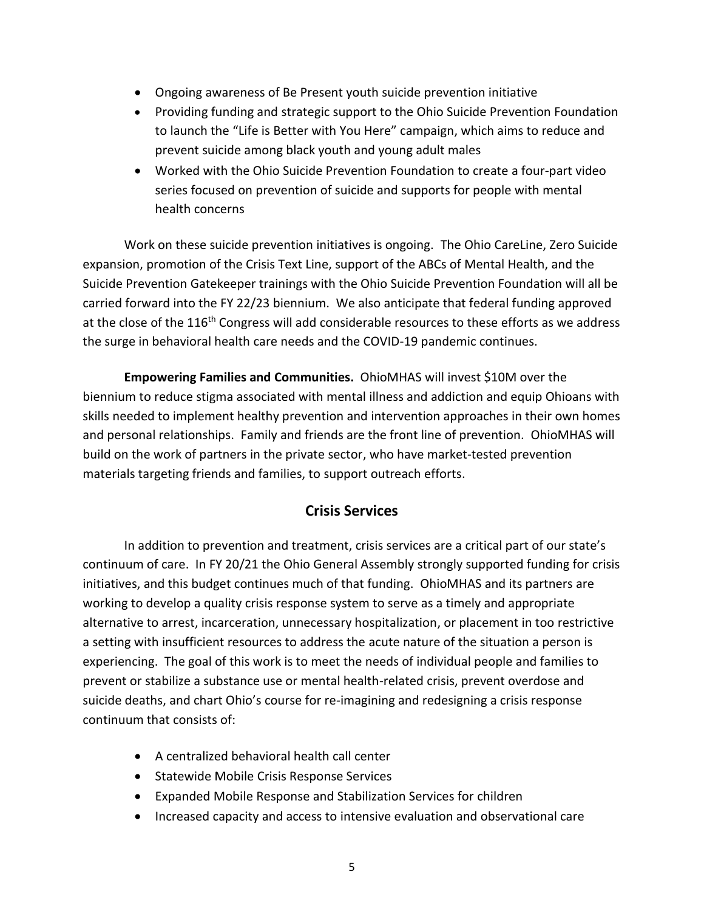- Ongoing awareness of Be Present youth suicide prevention initiative
- Providing funding and strategic support to the Ohio Suicide Prevention Foundation to launch the "Life is Better with You Here" campaign, which aims to reduce and prevent suicide among black youth and young adult males
- Worked with the Ohio Suicide Prevention Foundation to create a four-part video series focused on prevention of suicide and supports for people with mental health concerns

Work on these suicide prevention initiatives is ongoing. The Ohio CareLine, Zero Suicide expansion, promotion of the Crisis Text Line, support of the ABCs of Mental Health, and the Suicide Prevention Gatekeeper trainings with the Ohio Suicide Prevention Foundation will all be carried forward into the FY 22/23 biennium. We also anticipate that federal funding approved at the close of the 116<sup>th</sup> Congress will add considerable resources to these efforts as we address the surge in behavioral health care needs and the COVID-19 pandemic continues.

**Empowering Families and Communities.** OhioMHAS will invest \$10M over the biennium to reduce stigma associated with mental illness and addiction and equip Ohioans with skills needed to implement healthy prevention and intervention approaches in their own homes and personal relationships. Family and friends are the front line of prevention. OhioMHAS will build on the work of partners in the private sector, who have market-tested prevention materials targeting friends and families, to support outreach efforts.

## **Crisis Services**

In addition to prevention and treatment, crisis services are a critical part of our state's continuum of care. In FY 20/21 the Ohio General Assembly strongly supported funding for crisis initiatives, and this budget continues much of that funding. OhioMHAS and its partners are working to develop a quality crisis response system to serve as a timely and appropriate alternative to arrest, incarceration, unnecessary hospitalization, or placement in too restrictive a setting with insufficient resources to address the acute nature of the situation a person is experiencing. The goal of this work is to meet the needs of individual people and families to prevent or stabilize a substance use or mental health-related crisis, prevent overdose and suicide deaths, and chart Ohio's course for re-imagining and redesigning a crisis response continuum that consists of:

- A centralized behavioral health call center
- Statewide Mobile Crisis Response Services
- Expanded Mobile Response and Stabilization Services for children
- Increased capacity and access to intensive evaluation and observational care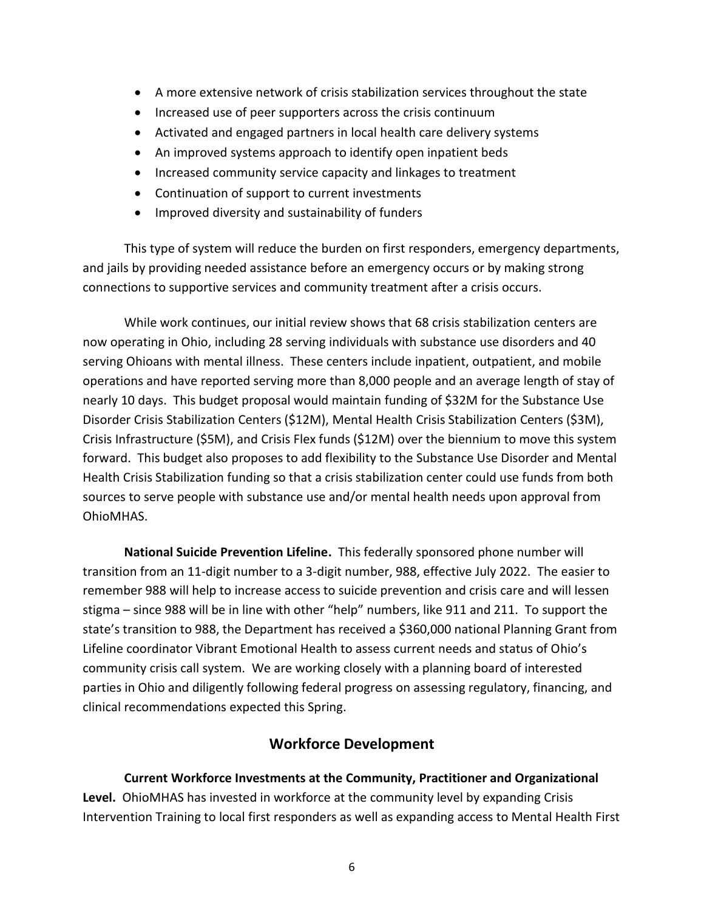- A more extensive network of crisis stabilization services throughout the state
- Increased use of peer supporters across the crisis continuum
- Activated and engaged partners in local health care delivery systems
- An improved systems approach to identify open inpatient beds
- Increased community service capacity and linkages to treatment
- Continuation of support to current investments
- Improved diversity and sustainability of funders

This type of system will reduce the burden on first responders, emergency departments, and jails by providing needed assistance before an emergency occurs or by making strong connections to supportive services and community treatment after a crisis occurs.

While work continues, our initial review shows that 68 crisis stabilization centers are now operating in Ohio, including 28 serving individuals with substance use disorders and 40 serving Ohioans with mental illness. These centers include inpatient, outpatient, and mobile operations and have reported serving more than 8,000 people and an average length of stay of nearly 10 days. This budget proposal would maintain funding of \$32M for the Substance Use Disorder Crisis Stabilization Centers (\$12M), Mental Health Crisis Stabilization Centers (\$3M), Crisis Infrastructure (\$5M), and Crisis Flex funds (\$12M) over the biennium to move this system forward. This budget also proposes to add flexibility to the Substance Use Disorder and Mental Health Crisis Stabilization funding so that a crisis stabilization center could use funds from both sources to serve people with substance use and/or mental health needs upon approval from OhioMHAS.

**National Suicide Prevention Lifeline.** This federally sponsored phone number will transition from an 11-digit number to a 3-digit number, 988, effective July 2022. The easier to remember 988 will help to increase access to suicide prevention and crisis care and will lessen stigma – since 988 will be in line with other "help" numbers, like 911 and 211. To support the state's transition to 988, the Department has received a \$360,000 national Planning Grant from Lifeline coordinator Vibrant Emotional Health to assess current needs and status of Ohio's community crisis call system. We are working closely with a planning board of interested parties in Ohio and diligently following federal progress on assessing regulatory, financing, and clinical recommendations expected this Spring.

## **Workforce Development**

**Current Workforce Investments at the Community, Practitioner and Organizational Level.** OhioMHAS has invested in workforce at the community level by expanding Crisis Intervention Training to local first responders as well as expanding access to Mental Health First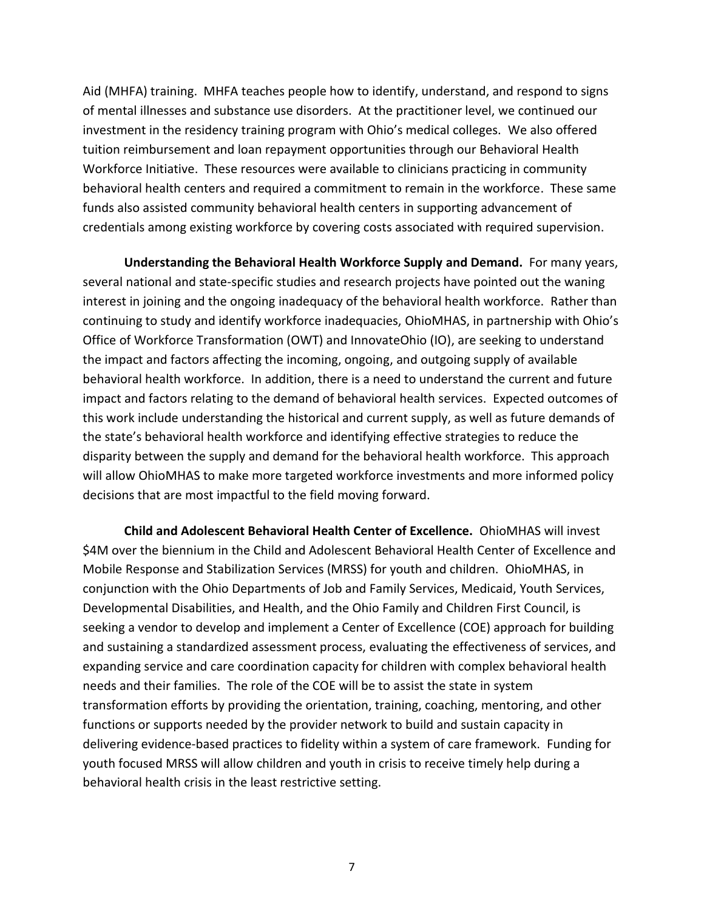Aid (MHFA) training. MHFA teaches people how to identify, understand, and respond to signs of mental illnesses and substance use disorders. At the practitioner level, we continued our investment in the residency training program with Ohio's medical colleges. We also offered tuition reimbursement and loan repayment opportunities through our Behavioral Health Workforce Initiative. These resources were available to clinicians practicing in community behavioral health centers and required a commitment to remain in the workforce. These same funds also assisted community behavioral health centers in supporting advancement of credentials among existing workforce by covering costs associated with required supervision.

**Understanding the Behavioral Health Workforce Supply and Demand.** For many years, several national and state-specific studies and research projects have pointed out the waning interest in joining and the ongoing inadequacy of the behavioral health workforce. Rather than continuing to study and identify workforce inadequacies, OhioMHAS, in partnership with Ohio's Office of Workforce Transformation (OWT) and InnovateOhio (IO), are seeking to understand the impact and factors affecting the incoming, ongoing, and outgoing supply of available behavioral health workforce. In addition, there is a need to understand the current and future impact and factors relating to the demand of behavioral health services. Expected outcomes of this work include understanding the historical and current supply, as well as future demands of the state's behavioral health workforce and identifying effective strategies to reduce the disparity between the supply and demand for the behavioral health workforce. This approach will allow OhioMHAS to make more targeted workforce investments and more informed policy decisions that are most impactful to the field moving forward.

**Child and Adolescent Behavioral Health Center of Excellence.** OhioMHAS will invest \$4M over the biennium in the Child and Adolescent Behavioral Health Center of Excellence and Mobile Response and Stabilization Services (MRSS) for youth and children. OhioMHAS, in conjunction with the Ohio Departments of Job and Family Services, Medicaid, Youth Services, Developmental Disabilities, and Health, and the Ohio Family and Children First Council, is seeking a vendor to develop and implement a Center of Excellence (COE) approach for building and sustaining a standardized assessment process, evaluating the effectiveness of services, and expanding service and care coordination capacity for children with complex behavioral health needs and their families. The role of the COE will be to assist the state in system transformation efforts by providing the orientation, training, coaching, mentoring, and other functions or supports needed by the provider network to build and sustain capacity in delivering evidence-based practices to fidelity within a system of care framework. Funding for youth focused MRSS will allow children and youth in crisis to receive timely help during a behavioral health crisis in the least restrictive setting.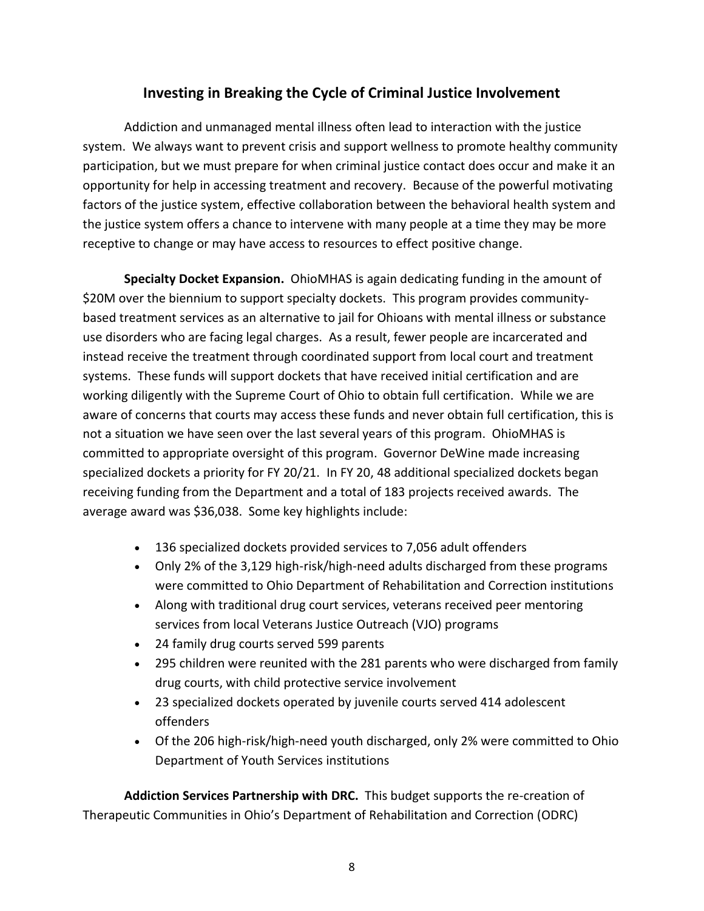## **Investing in Breaking the Cycle of Criminal Justice Involvement**

Addiction and unmanaged mental illness often lead to interaction with the justice system. We always want to prevent crisis and support wellness to promote healthy community participation, but we must prepare for when criminal justice contact does occur and make it an opportunity for help in accessing treatment and recovery. Because of the powerful motivating factors of the justice system, effective collaboration between the behavioral health system and the justice system offers a chance to intervene with many people at a time they may be more receptive to change or may have access to resources to effect positive change.

**Specialty Docket Expansion.** OhioMHAS is again dedicating funding in the amount of \$20M over the biennium to support specialty dockets. This program provides communitybased treatment services as an alternative to jail for Ohioans with mental illness or substance use disorders who are facing legal charges. As a result, fewer people are incarcerated and instead receive the treatment through coordinated support from local court and treatment systems. These funds will support dockets that have received initial certification and are working diligently with the Supreme Court of Ohio to obtain full certification. While we are aware of concerns that courts may access these funds and never obtain full certification, this is not a situation we have seen over the last several years of this program. OhioMHAS is committed to appropriate oversight of this program. Governor DeWine made increasing specialized dockets a priority for FY 20/21. In FY 20, 48 additional specialized dockets began receiving funding from the Department and a total of 183 projects received awards. The average award was \$36,038. Some key highlights include:

- 136 specialized dockets provided services to 7,056 adult offenders
- Only 2% of the 3,129 high-risk/high-need adults discharged from these programs were committed to Ohio Department of Rehabilitation and Correction institutions
- Along with traditional drug court services, veterans received peer mentoring services from local Veterans Justice Outreach (VJO) programs
- 24 family drug courts served 599 parents
- 295 children were reunited with the 281 parents who were discharged from family drug courts, with child protective service involvement
- 23 specialized dockets operated by juvenile courts served 414 adolescent offenders
- Of the 206 high-risk/high-need youth discharged, only 2% were committed to Ohio Department of Youth Services institutions

**Addiction Services Partnership with DRC.** This budget supports the re-creation of Therapeutic Communities in Ohio's Department of Rehabilitation and Correction (ODRC)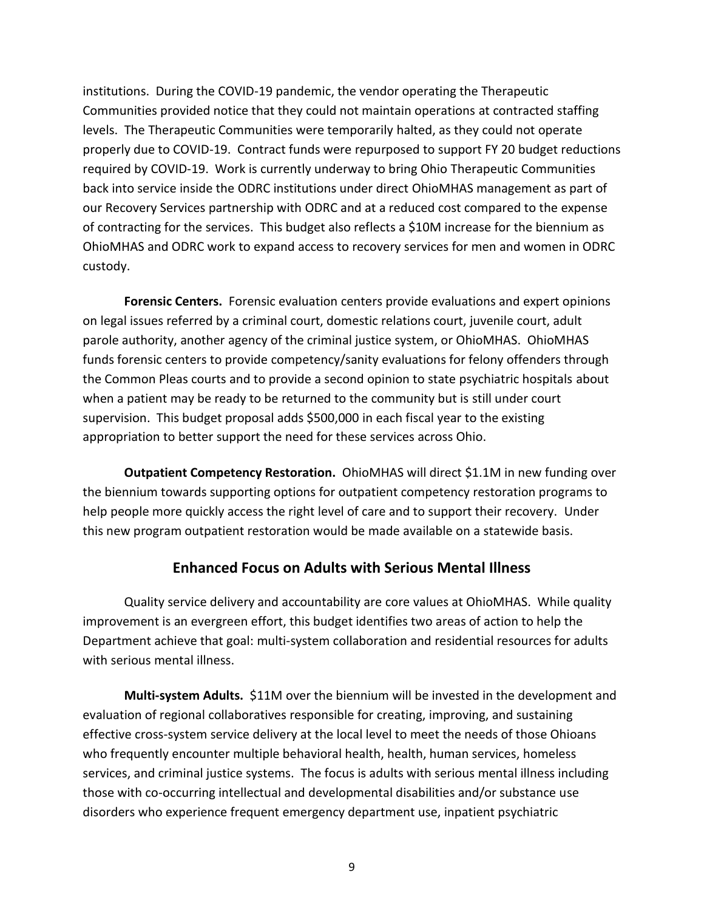institutions. During the COVID-19 pandemic, the vendor operating the Therapeutic Communities provided notice that they could not maintain operations at contracted staffing levels. The Therapeutic Communities were temporarily halted, as they could not operate properly due to COVID-19. Contract funds were repurposed to support FY 20 budget reductions required by COVID-19. Work is currently underway to bring Ohio Therapeutic Communities back into service inside the ODRC institutions under direct OhioMHAS management as part of our Recovery Services partnership with ODRC and at a reduced cost compared to the expense of contracting for the services. This budget also reflects a \$10M increase for the biennium as OhioMHAS and ODRC work to expand access to recovery services for men and women in ODRC custody.

**Forensic Centers.** Forensic evaluation centers provide evaluations and expert opinions on legal issues referred by a criminal court, domestic relations court, juvenile court, adult parole authority, another agency of the criminal justice system, or OhioMHAS. OhioMHAS funds forensic centers to provide competency/sanity evaluations for felony offenders through the Common Pleas courts and to provide a second opinion to state psychiatric hospitals about when a patient may be ready to be returned to the community but is still under court supervision. This budget proposal adds \$500,000 in each fiscal year to the existing appropriation to better support the need for these services across Ohio.

**Outpatient Competency Restoration.** OhioMHAS will direct \$1.1M in new funding over the biennium towards supporting options for outpatient competency restoration programs to help people more quickly access the right level of care and to support their recovery. Under this new program outpatient restoration would be made available on a statewide basis.

## **Enhanced Focus on Adults with Serious Mental Illness**

Quality service delivery and accountability are core values at OhioMHAS. While quality improvement is an evergreen effort, this budget identifies two areas of action to help the Department achieve that goal: multi-system collaboration and residential resources for adults with serious mental illness.

**Multi-system Adults.** \$11M over the biennium will be invested in the development and evaluation of regional collaboratives responsible for creating, improving, and sustaining effective cross-system service delivery at the local level to meet the needs of those Ohioans who frequently encounter multiple behavioral health, health, human services, homeless services, and criminal justice systems. The focus is adults with serious mental illness including those with co-occurring intellectual and developmental disabilities and/or substance use disorders who experience frequent emergency department use, inpatient psychiatric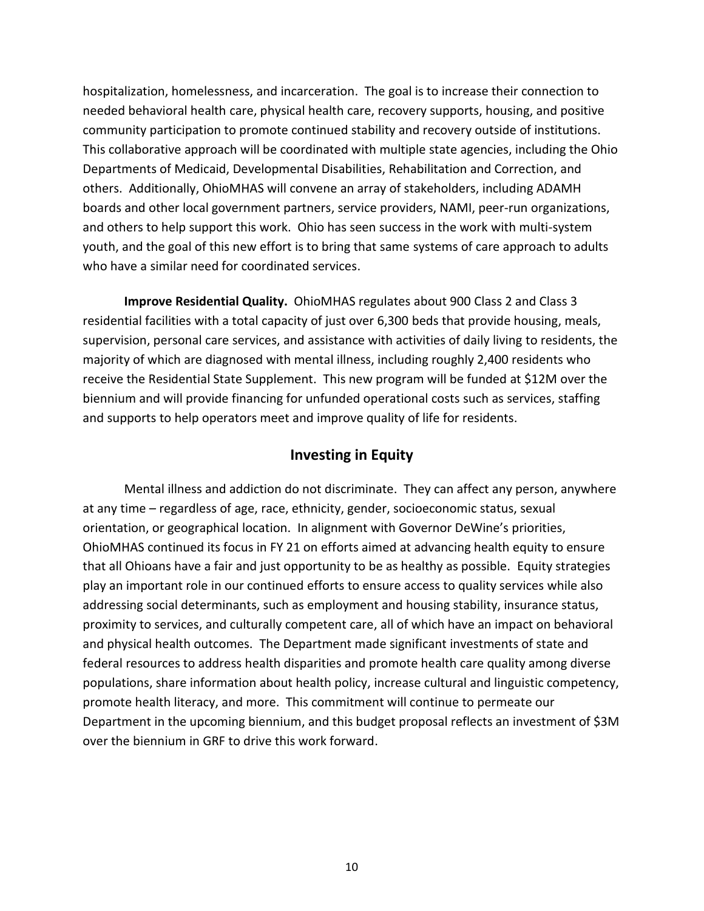hospitalization, homelessness, and incarceration. The goal is to increase their connection to needed behavioral health care, physical health care, recovery supports, housing, and positive community participation to promote continued stability and recovery outside of institutions. This collaborative approach will be coordinated with multiple state agencies, including the Ohio Departments of Medicaid, Developmental Disabilities, Rehabilitation and Correction, and others. Additionally, OhioMHAS will convene an array of stakeholders, including ADAMH boards and other local government partners, service providers, NAMI, peer-run organizations, and others to help support this work. Ohio has seen success in the work with multi-system youth, and the goal of this new effort is to bring that same systems of care approach to adults who have a similar need for coordinated services.

**Improve Residential Quality.** OhioMHAS regulates about 900 Class 2 and Class 3 residential facilities with a total capacity of just over 6,300 beds that provide housing, meals, supervision, personal care services, and assistance with activities of daily living to residents, the majority of which are diagnosed with mental illness, including roughly 2,400 residents who receive the Residential State Supplement. This new program will be funded at \$12M over the biennium and will provide financing for unfunded operational costs such as services, staffing and supports to help operators meet and improve quality of life for residents.

## **Investing in Equity**

Mental illness and addiction do not discriminate. They can affect any person, anywhere at any time – regardless of age, race, ethnicity, gender, socioeconomic status, sexual orientation, or geographical location. In alignment with Governor DeWine's priorities, OhioMHAS continued its focus in FY 21 on efforts aimed at advancing health equity to ensure that all Ohioans have a fair and just opportunity to be as healthy as possible. Equity strategies play an important role in our continued efforts to ensure access to quality services while also addressing social determinants, such as employment and housing stability, insurance status, proximity to services, and culturally competent care, all of which have an impact on behavioral and physical health outcomes. The Department made significant investments of state and federal resources to address health disparities and promote health care quality among diverse populations, share information about health policy, increase cultural and linguistic competency, promote health literacy, and more. This commitment will continue to permeate our Department in the upcoming biennium, and this budget proposal reflects an investment of \$3M over the biennium in GRF to drive this work forward.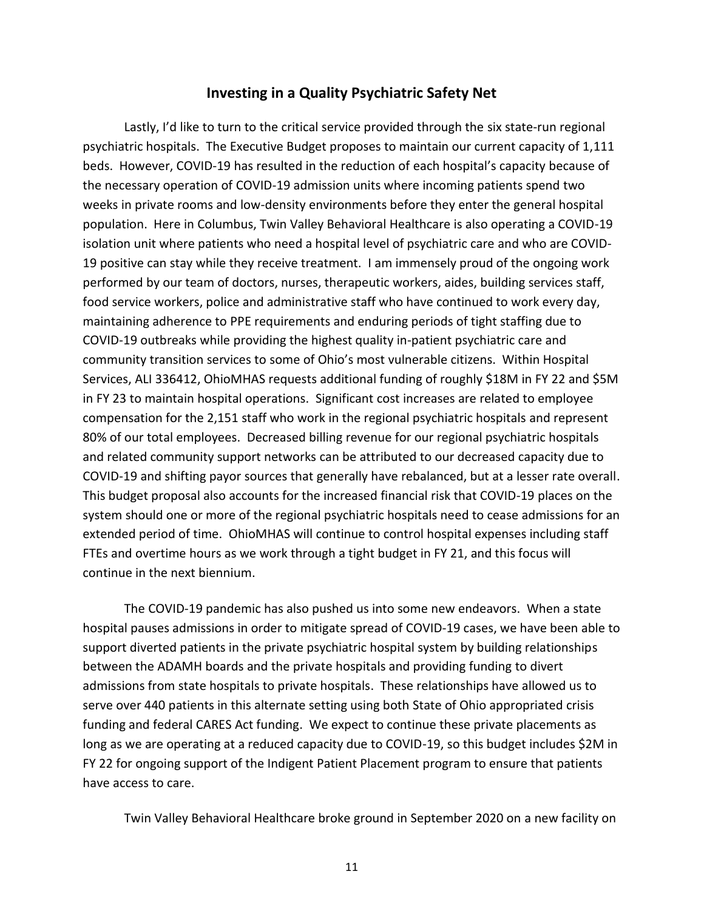#### **Investing in a Quality Psychiatric Safety Net**

Lastly, I'd like to turn to the critical service provided through the six state-run regional psychiatric hospitals. The Executive Budget proposes to maintain our current capacity of 1,111 beds. However, COVID-19 has resulted in the reduction of each hospital's capacity because of the necessary operation of COVID-19 admission units where incoming patients spend two weeks in private rooms and low-density environments before they enter the general hospital population. Here in Columbus, Twin Valley Behavioral Healthcare is also operating a COVID-19 isolation unit where patients who need a hospital level of psychiatric care and who are COVID-19 positive can stay while they receive treatment. I am immensely proud of the ongoing work performed by our team of doctors, nurses, therapeutic workers, aides, building services staff, food service workers, police and administrative staff who have continued to work every day, maintaining adherence to PPE requirements and enduring periods of tight staffing due to COVID-19 outbreaks while providing the highest quality in-patient psychiatric care and community transition services to some of Ohio's most vulnerable citizens. Within Hospital Services, ALI 336412, OhioMHAS requests additional funding of roughly \$18M in FY 22 and \$5M in FY 23 to maintain hospital operations. Significant cost increases are related to employee compensation for the 2,151 staff who work in the regional psychiatric hospitals and represent 80% of our total employees. Decreased billing revenue for our regional psychiatric hospitals and related community support networks can be attributed to our decreased capacity due to COVID-19 and shifting payor sources that generally have rebalanced, but at a lesser rate overall. This budget proposal also accounts for the increased financial risk that COVID-19 places on the system should one or more of the regional psychiatric hospitals need to cease admissions for an extended period of time. OhioMHAS will continue to control hospital expenses including staff FTEs and overtime hours as we work through a tight budget in FY 21, and this focus will continue in the next biennium.

The COVID-19 pandemic has also pushed us into some new endeavors. When a state hospital pauses admissions in order to mitigate spread of COVID-19 cases, we have been able to support diverted patients in the private psychiatric hospital system by building relationships between the ADAMH boards and the private hospitals and providing funding to divert admissions from state hospitals to private hospitals. These relationships have allowed us to serve over 440 patients in this alternate setting using both State of Ohio appropriated crisis funding and federal CARES Act funding. We expect to continue these private placements as long as we are operating at a reduced capacity due to COVID-19, so this budget includes \$2M in FY 22 for ongoing support of the Indigent Patient Placement program to ensure that patients have access to care.

Twin Valley Behavioral Healthcare broke ground in September 2020 on a new facility on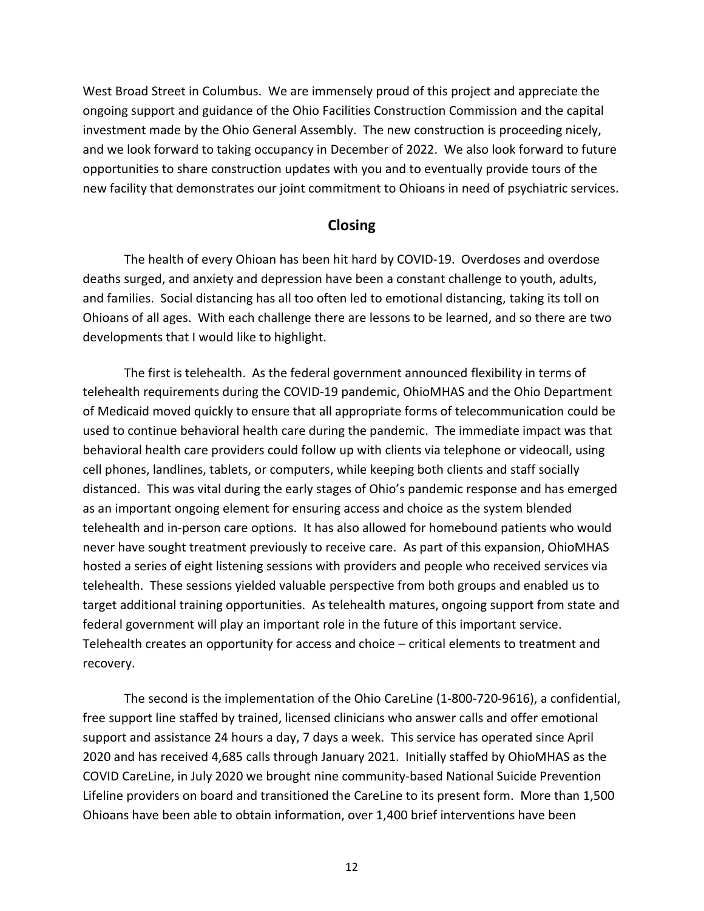West Broad Street in Columbus. We are immensely proud of this project and appreciate the ongoing support and guidance of the Ohio Facilities Construction Commission and the capital investment made by the Ohio General Assembly. The new construction is proceeding nicely, and we look forward to taking occupancy in December of 2022. We also look forward to future opportunities to share construction updates with you and to eventually provide tours of the new facility that demonstrates our joint commitment to Ohioans in need of psychiatric services.

#### **Closing**

The health of every Ohioan has been hit hard by COVID-19. Overdoses and overdose deaths surged, and anxiety and depression have been a constant challenge to youth, adults, and families. Social distancing has all too often led to emotional distancing, taking its toll on Ohioans of all ages. With each challenge there are lessons to be learned, and so there are two developments that I would like to highlight.

The first is telehealth. As the federal government announced flexibility in terms of telehealth requirements during the COVID-19 pandemic, OhioMHAS and the Ohio Department of Medicaid moved quickly to ensure that all appropriate forms of telecommunication could be used to continue behavioral health care during the pandemic. The immediate impact was that behavioral health care providers could follow up with clients via telephone or videocall, using cell phones, landlines, tablets, or computers, while keeping both clients and staff socially distanced. This was vital during the early stages of Ohio's pandemic response and has emerged as an important ongoing element for ensuring access and choice as the system blended telehealth and in-person care options. It has also allowed for homebound patients who would never have sought treatment previously to receive care. As part of this expansion, OhioMHAS hosted a series of eight listening sessions with providers and people who received services via telehealth. These sessions yielded valuable perspective from both groups and enabled us to target additional training opportunities. As telehealth matures, ongoing support from state and federal government will play an important role in the future of this important service. Telehealth creates an opportunity for access and choice – critical elements to treatment and recovery.

The second is the implementation of the Ohio CareLine (1-800-720-9616), a confidential, free support line staffed by trained, licensed clinicians who answer calls and offer emotional support and assistance 24 hours a day, 7 days a week. This service has operated since April 2020 and has received 4,685 calls through January 2021. Initially staffed by OhioMHAS as the COVID CareLine, in July 2020 we brought nine community-based National Suicide Prevention Lifeline providers on board and transitioned the CareLine to its present form. More than 1,500 Ohioans have been able to obtain information, over 1,400 brief interventions have been

12